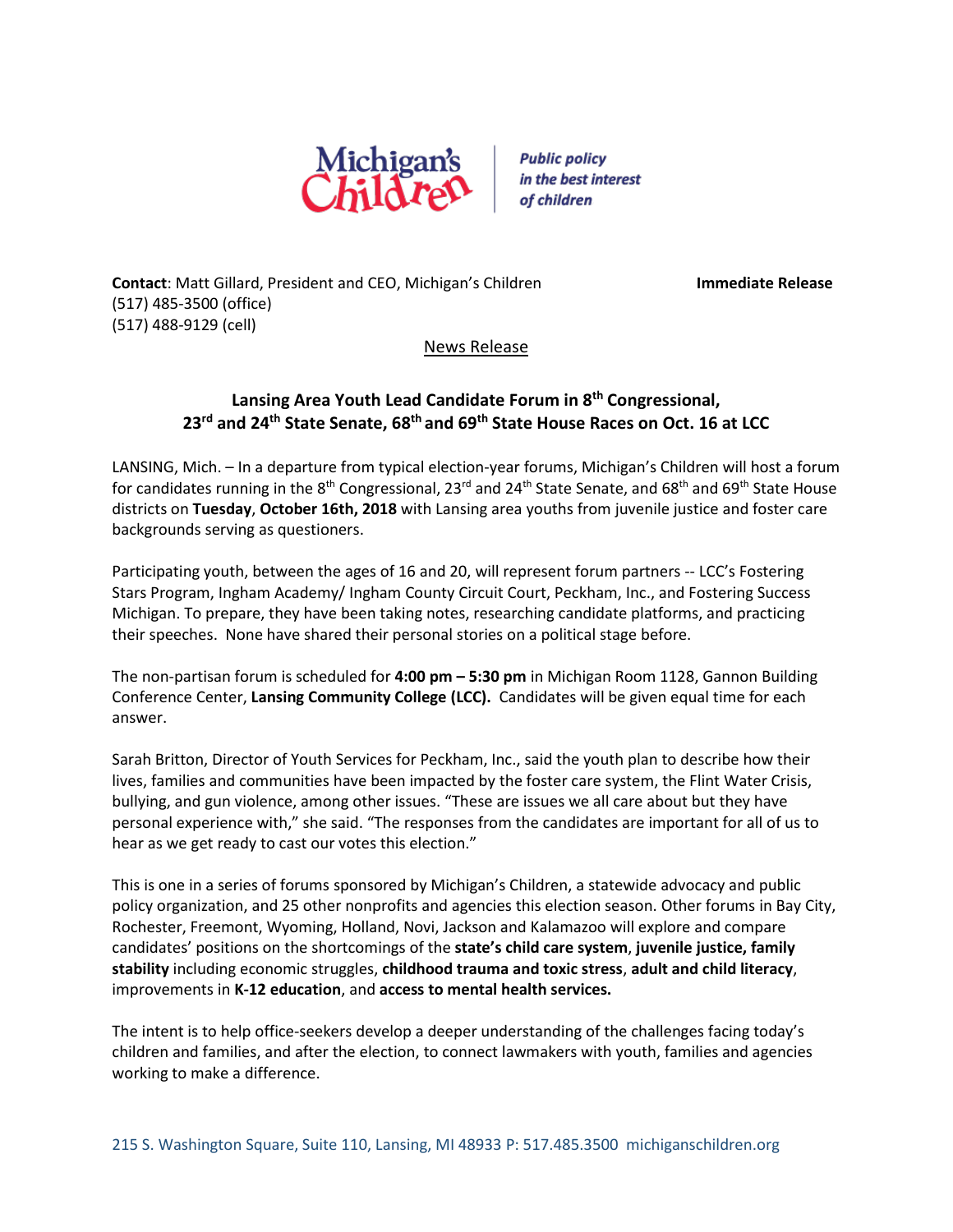

**Public policy** in the best interest of children

**Contact**: Matt Gillard, President and CEO, Michigan's Children **Immediate Release** (517) 485-3500 (office) (517) 488-9129 (cell)

## News Release

## **Lansing Area Youth Lead Candidate Forum in 8 th Congressional, 23rd and 24th State Senate, 68th and 69th State House Races on Oct. 16 at LCC**

LANSING, Mich. – In a departure from typical election-year forums, Michigan's Children will host a forum for candidates running in the 8<sup>th</sup> Congressional, 23<sup>rd</sup> and 24<sup>th</sup> State Senate, and 68<sup>th</sup> and 69<sup>th</sup> State House districts on **Tuesday**, **October 16th, 2018** with Lansing area youths from juvenile justice and foster care backgrounds serving as questioners.

Participating youth, between the ages of 16 and 20, will represent forum partners -- LCC's Fostering Stars Program, Ingham Academy/ Ingham County Circuit Court, Peckham, Inc., and Fostering Success Michigan. To prepare, they have been taking notes, researching candidate platforms, and practicing their speeches. None have shared their personal stories on a political stage before.

The non-partisan forum is scheduled for **4:00 pm – 5:30 pm** in Michigan Room 1128, Gannon Building Conference Center, **Lansing Community College (LCC).** Candidates will be given equal time for each answer.

Sarah Britton, Director of Youth Services for Peckham, Inc., said the youth plan to describe how their lives, families and communities have been impacted by the foster care system, the Flint Water Crisis, bullying, and gun violence, among other issues. "These are issues we all care about but they have personal experience with," she said. "The responses from the candidates are important for all of us to hear as we get ready to cast our votes this election."

This is one in a series of forums sponsored by Michigan's Children, a statewide advocacy and public policy organization, and 25 other nonprofits and agencies this election season. Other forums in Bay City, Rochester, Freemont, Wyoming, Holland, Novi, Jackson and Kalamazoo will explore and compare candidates' positions on the shortcomings of the **state's child care system**, **juvenile justice, family stability** including economic struggles, **childhood trauma and toxic stress**, **adult and child literacy**, improvements in **K-12 education**, and **access to mental health services.** 

The intent is to help office-seekers develop a deeper understanding of the challenges facing today's children and families, and after the election, to connect lawmakers with youth, families and agencies working to make a difference.